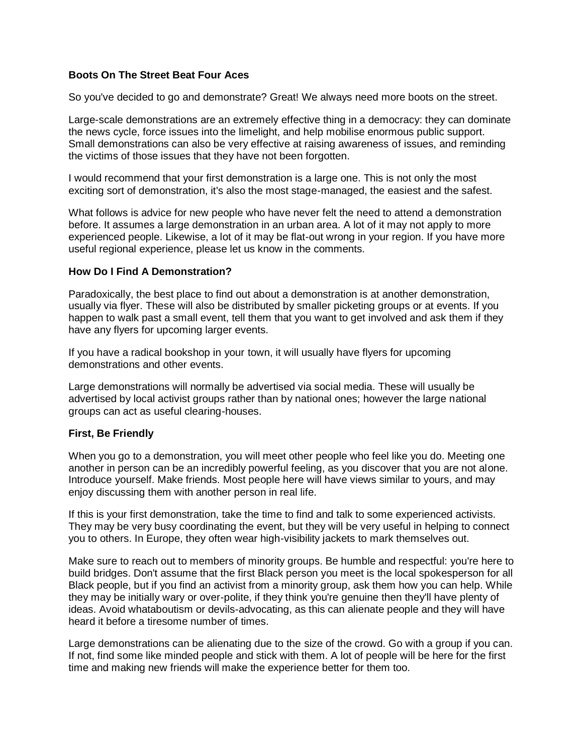## **Boots On The Street Beat Four Aces**

So you've decided to go and demonstrate? Great! We always need more boots on the street.

Large-scale demonstrations are an extremely effective thing in a democracy: they can dominate the news cycle, force issues into the limelight, and help mobilise enormous public support. Small demonstrations can also be very effective at raising awareness of issues, and reminding the victims of those issues that they have not been forgotten.

I would recommend that your first demonstration is a large one. This is not only the most exciting sort of demonstration, it's also the most stage-managed, the easiest and the safest.

What follows is advice for new people who have never felt the need to attend a demonstration before. It assumes a large demonstration in an urban area. A lot of it may not apply to more experienced people. Likewise, a lot of it may be flat-out wrong in your region. If you have more useful regional experience, please let us know in the comments.

#### **How Do I Find A Demonstration?**

Paradoxically, the best place to find out about a demonstration is at another demonstration, usually via flyer. These will also be distributed by smaller picketing groups or at events. If you happen to walk past a small event, tell them that you want to get involved and ask them if they have any flyers for upcoming larger events.

If you have a radical bookshop in your town, it will usually have flyers for upcoming demonstrations and other events.

Large demonstrations will normally be advertised via social media. These will usually be advertised by local activist groups rather than by national ones; however the large national groups can act as useful clearing-houses.

#### **First, Be Friendly**

When you go to a demonstration, you will meet other people who feel like you do. Meeting one another in person can be an incredibly powerful feeling, as you discover that you are not alone. Introduce yourself. Make friends. Most people here will have views similar to yours, and may enjoy discussing them with another person in real life.

If this is your first demonstration, take the time to find and talk to some experienced activists. They may be very busy coordinating the event, but they will be very useful in helping to connect you to others. In Europe, they often wear high-visibility jackets to mark themselves out.

Make sure to reach out to members of minority groups. Be humble and respectful: you're here to build bridges. Don't assume that the first Black person you meet is the local spokesperson for all Black people, but if you find an activist from a minority group, ask them how you can help. While they may be initially wary or over-polite, if they think you're genuine then they'll have plenty of ideas. Avoid whataboutism or devils-advocating, as this can alienate people and they will have heard it before a tiresome number of times.

Large demonstrations can be alienating due to the size of the crowd. Go with a group if you can. If not, find some like minded people and stick with them. A lot of people will be here for the first time and making new friends will make the experience better for them too.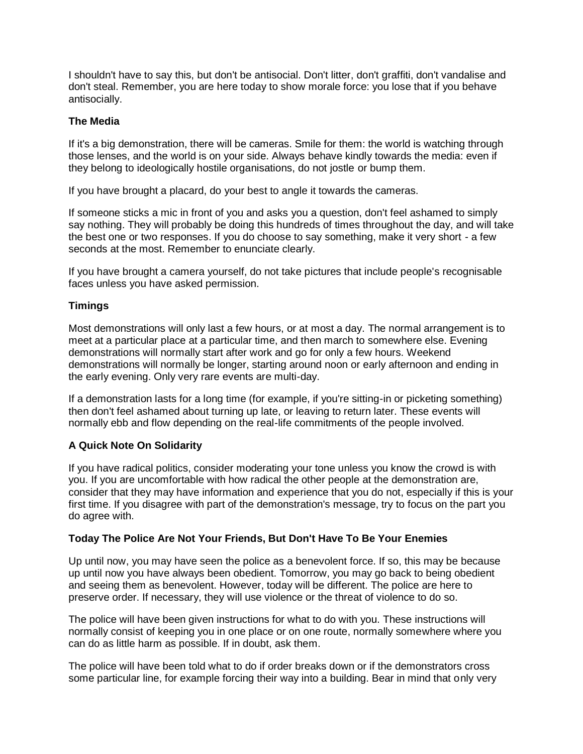I shouldn't have to say this, but don't be antisocial. Don't litter, don't graffiti, don't vandalise and don't steal. Remember, you are here today to show morale force: you lose that if you behave antisocially.

## **The Media**

If it's a big demonstration, there will be cameras. Smile for them: the world is watching through those lenses, and the world is on your side. Always behave kindly towards the media: even if they belong to ideologically hostile organisations, do not jostle or bump them.

If you have brought a placard, do your best to angle it towards the cameras.

If someone sticks a mic in front of you and asks you a question, don't feel ashamed to simply say nothing. They will probably be doing this hundreds of times throughout the day, and will take the best one or two responses. If you do choose to say something, make it very short - a few seconds at the most. Remember to enunciate clearly.

If you have brought a camera yourself, do not take pictures that include people's recognisable faces unless you have asked permission.

# **Timings**

Most demonstrations will only last a few hours, or at most a day. The normal arrangement is to meet at a particular place at a particular time, and then march to somewhere else. Evening demonstrations will normally start after work and go for only a few hours. Weekend demonstrations will normally be longer, starting around noon or early afternoon and ending in the early evening. Only very rare events are multi-day.

If a demonstration lasts for a long time (for example, if you're sitting-in or picketing something) then don't feel ashamed about turning up late, or leaving to return later. These events will normally ebb and flow depending on the real-life commitments of the people involved.

# **A Quick Note On Solidarity**

If you have radical politics, consider moderating your tone unless you know the crowd is with you. If you are uncomfortable with how radical the other people at the demonstration are, consider that they may have information and experience that you do not, especially if this is your first time. If you disagree with part of the demonstration's message, try to focus on the part you do agree with.

#### **Today The Police Are Not Your Friends, But Don't Have To Be Your Enemies**

Up until now, you may have seen the police as a benevolent force. If so, this may be because up until now you have always been obedient. Tomorrow, you may go back to being obedient and seeing them as benevolent. However, today will be different. The police are here to preserve order. If necessary, they will use violence or the threat of violence to do so.

The police will have been given instructions for what to do with you. These instructions will normally consist of keeping you in one place or on one route, normally somewhere where you can do as little harm as possible. If in doubt, ask them.

The police will have been told what to do if order breaks down or if the demonstrators cross some particular line, for example forcing their way into a building. Bear in mind that only very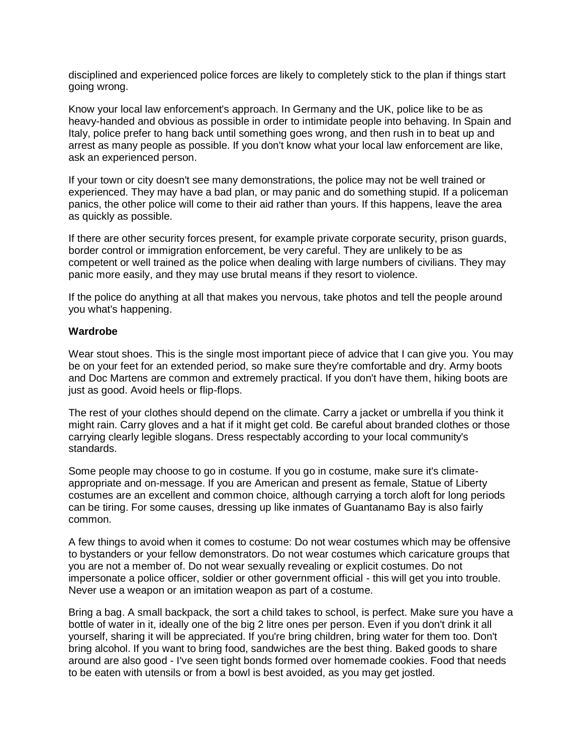disciplined and experienced police forces are likely to completely stick to the plan if things start going wrong.

Know your local law enforcement's approach. In Germany and the UK, police like to be as heavy-handed and obvious as possible in order to intimidate people into behaving. In Spain and Italy, police prefer to hang back until something goes wrong, and then rush in to beat up and arrest as many people as possible. If you don't know what your local law enforcement are like, ask an experienced person.

If your town or city doesn't see many demonstrations, the police may not be well trained or experienced. They may have a bad plan, or may panic and do something stupid. If a policeman panics, the other police will come to their aid rather than yours. If this happens, leave the area as quickly as possible.

If there are other security forces present, for example private corporate security, prison guards, border control or immigration enforcement, be very careful. They are unlikely to be as competent or well trained as the police when dealing with large numbers of civilians. They may panic more easily, and they may use brutal means if they resort to violence.

If the police do anything at all that makes you nervous, take photos and tell the people around you what's happening.

#### **Wardrobe**

Wear stout shoes. This is the single most important piece of advice that I can give you. You may be on your feet for an extended period, so make sure they're comfortable and dry. Army boots and Doc Martens are common and extremely practical. If you don't have them, hiking boots are just as good. Avoid heels or flip-flops.

The rest of your clothes should depend on the climate. Carry a jacket or umbrella if you think it might rain. Carry gloves and a hat if it might get cold. Be careful about branded clothes or those carrying clearly legible slogans. Dress respectably according to your local community's standards.

Some people may choose to go in costume. If you go in costume, make sure it's climateappropriate and on-message. If you are American and present as female, Statue of Liberty costumes are an excellent and common choice, although carrying a torch aloft for long periods can be tiring. For some causes, dressing up like inmates of Guantanamo Bay is also fairly common.

A few things to avoid when it comes to costume: Do not wear costumes which may be offensive to bystanders or your fellow demonstrators. Do not wear costumes which caricature groups that you are not a member of. Do not wear sexually revealing or explicit costumes. Do not impersonate a police officer, soldier or other government official - this will get you into trouble. Never use a weapon or an imitation weapon as part of a costume.

Bring a bag. A small backpack, the sort a child takes to school, is perfect. Make sure you have a bottle of water in it, ideally one of the big 2 litre ones per person. Even if you don't drink it all yourself, sharing it will be appreciated. If you're bring children, bring water for them too. Don't bring alcohol. If you want to bring food, sandwiches are the best thing. Baked goods to share around are also good - I've seen tight bonds formed over homemade cookies. Food that needs to be eaten with utensils or from a bowl is best avoided, as you may get jostled.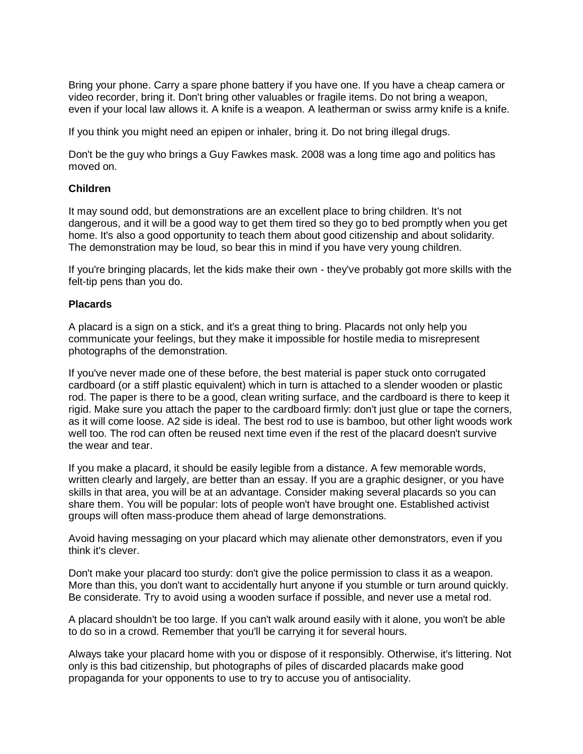Bring your phone. Carry a spare phone battery if you have one. If you have a cheap camera or video recorder, bring it. Don't bring other valuables or fragile items. Do not bring a weapon, even if your local law allows it. A knife is a weapon. A leatherman or swiss army knife is a knife.

If you think you might need an epipen or inhaler, bring it. Do not bring illegal drugs.

Don't be the guy who brings a Guy Fawkes mask. 2008 was a long time ago and politics has moved on.

#### **Children**

It may sound odd, but demonstrations are an excellent place to bring children. It's not dangerous, and it will be a good way to get them tired so they go to bed promptly when you get home. It's also a good opportunity to teach them about good citizenship and about solidarity. The demonstration may be loud, so bear this in mind if you have very young children.

If you're bringing placards, let the kids make their own - they've probably got more skills with the felt-tip pens than you do.

#### **Placards**

A placard is a sign on a stick, and it's a great thing to bring. Placards not only help you communicate your feelings, but they make it impossible for hostile media to misrepresent photographs of the demonstration.

If you've never made one of these before, the best material is paper stuck onto corrugated cardboard (or a stiff plastic equivalent) which in turn is attached to a slender wooden or plastic rod. The paper is there to be a good, clean writing surface, and the cardboard is there to keep it rigid. Make sure you attach the paper to the cardboard firmly: don't just glue or tape the corners, as it will come loose. A2 side is ideal. The best rod to use is bamboo, but other light woods work well too. The rod can often be reused next time even if the rest of the placard doesn't survive the wear and tear.

If you make a placard, it should be easily legible from a distance. A few memorable words, written clearly and largely, are better than an essay. If you are a graphic designer, or you have skills in that area, you will be at an advantage. Consider making several placards so you can share them. You will be popular: lots of people won't have brought one. Established activist groups will often mass-produce them ahead of large demonstrations.

Avoid having messaging on your placard which may alienate other demonstrators, even if you think it's clever.

Don't make your placard too sturdy: don't give the police permission to class it as a weapon. More than this, you don't want to accidentally hurt anyone if you stumble or turn around quickly. Be considerate. Try to avoid using a wooden surface if possible, and never use a metal rod.

A placard shouldn't be too large. If you can't walk around easily with it alone, you won't be able to do so in a crowd. Remember that you'll be carrying it for several hours.

Always take your placard home with you or dispose of it responsibly. Otherwise, it's littering. Not only is this bad citizenship, but photographs of piles of discarded placards make good propaganda for your opponents to use to try to accuse you of antisociality.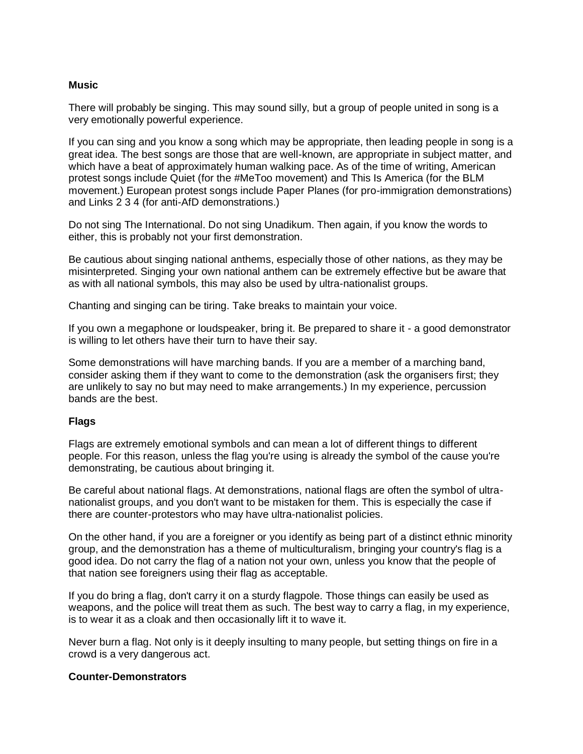### **Music**

There will probably be singing. This may sound silly, but a group of people united in song is a very emotionally powerful experience.

If you can sing and you know a song which may be appropriate, then leading people in song is a great idea. The best songs are those that are well-known, are appropriate in subject matter, and which have a beat of approximately human walking pace. As of the time of writing, American protest songs include Quiet (for the #MeToo movement) and This Is America (for the BLM movement.) European protest songs include Paper Planes (for pro-immigration demonstrations) and Links 2 3 4 (for anti-AfD demonstrations.)

Do not sing The International. Do not sing Unadikum. Then again, if you know the words to either, this is probably not your first demonstration.

Be cautious about singing national anthems, especially those of other nations, as they may be misinterpreted. Singing your own national anthem can be extremely effective but be aware that as with all national symbols, this may also be used by ultra-nationalist groups.

Chanting and singing can be tiring. Take breaks to maintain your voice.

If you own a megaphone or loudspeaker, bring it. Be prepared to share it - a good demonstrator is willing to let others have their turn to have their say.

Some demonstrations will have marching bands. If you are a member of a marching band, consider asking them if they want to come to the demonstration (ask the organisers first; they are unlikely to say no but may need to make arrangements.) In my experience, percussion bands are the best.

#### **Flags**

Flags are extremely emotional symbols and can mean a lot of different things to different people. For this reason, unless the flag you're using is already the symbol of the cause you're demonstrating, be cautious about bringing it.

Be careful about national flags. At demonstrations, national flags are often the symbol of ultranationalist groups, and you don't want to be mistaken for them. This is especially the case if there are counter-protestors who may have ultra-nationalist policies.

On the other hand, if you are a foreigner or you identify as being part of a distinct ethnic minority group, and the demonstration has a theme of multiculturalism, bringing your country's flag is a good idea. Do not carry the flag of a nation not your own, unless you know that the people of that nation see foreigners using their flag as acceptable.

If you do bring a flag, don't carry it on a sturdy flagpole. Those things can easily be used as weapons, and the police will treat them as such. The best way to carry a flag, in my experience, is to wear it as a cloak and then occasionally lift it to wave it.

Never burn a flag. Not only is it deeply insulting to many people, but setting things on fire in a crowd is a very dangerous act.

#### **Counter-Demonstrators**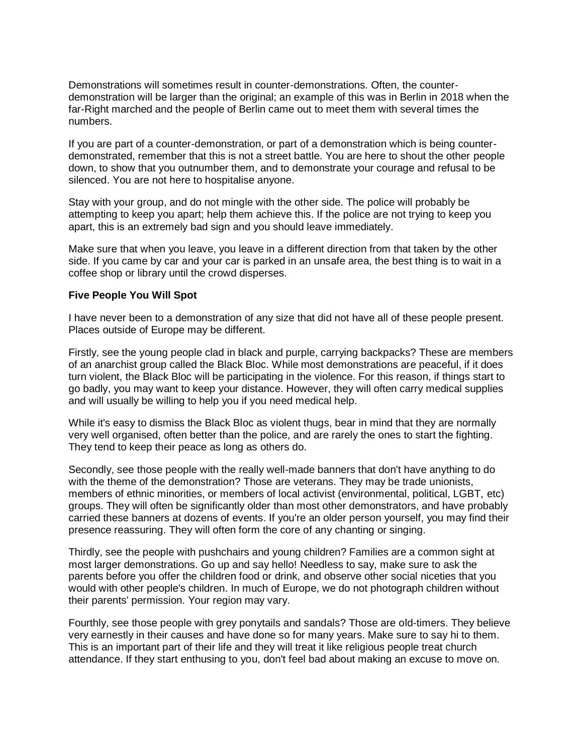Demonstrations will sometimes result in counter-demonstrations. Often, the counterdemonstration will be larger than the original; an example of this was in Berlin in 2018 when the far-Right marched and the people of Berlin came out to meet them with several times the numbers.

If you are part of a counter-demonstration, or part of a demonstration which is being counterdemonstrated, remember that this is not a street battle. You are here to shout the other people down, to show that you outnumber them, and to demonstrate your courage and refusal to be silenced. You are not here to hospitalise anyone.

Stay with your group, and do not mingle with the other side. The police will probably be attempting to keep you apart; help them achieve this. If the police are not trying to keep you apart, this is an extremely bad sign and you should leave immediately.

Make sure that when you leave, you leave in a different direction from that taken by the other side. If you came by car and your car is parked in an unsafe area, the best thing is to wait in a coffee shop or library until the crowd disperses.

#### **Five People You Will Spot**

I have never been to a demonstration of any size that did not have all of these people present. Places outside of Europe may be different.

Firstly, see the young people clad in black and purple, carrying backpacks? These are members of an anarchist group called the Black Bloc. While most demonstrations are peaceful, if it does turn violent, the Black Bloc will be participating in the violence. For this reason, if things start to go badly, you may want to keep your distance. However, they will often carry medical supplies and will usually be willing to help you if you need medical help.

While it's easy to dismiss the Black Bloc as violent thugs, bear in mind that they are normally very well organised, often better than the police, and are rarely the ones to start the fighting. They tend to keep their peace as long as others do.

Secondly, see those people with the really well-made banners that don't have anything to do with the theme of the demonstration? Those are veterans. They may be trade unionists, members of ethnic minorities, or members of local activist (environmental, political, LGBT, etc) groups. They will often be significantly older than most other demonstrators, and have probably carried these banners at dozens of events. If you're an older person yourself, you may find their presence reassuring. They will often form the core of any chanting or singing.

Thirdly, see the people with pushchairs and young children? Families are a common sight at most larger demonstrations. Go up and say hello! Needless to say, make sure to ask the parents before you offer the children food or drink, and observe other social niceties that you would with other people's children. In much of Europe, we do not photograph children without their parents' permission. Your region may vary.

Fourthly, see those people with grey ponytails and sandals? Those are old-timers. They believe very earnestly in their causes and have done so for many years. Make sure to say hi to them. This is an important part of their life and they will treat it like religious people treat church attendance. If they start enthusing to you, don't feel bad about making an excuse to move on.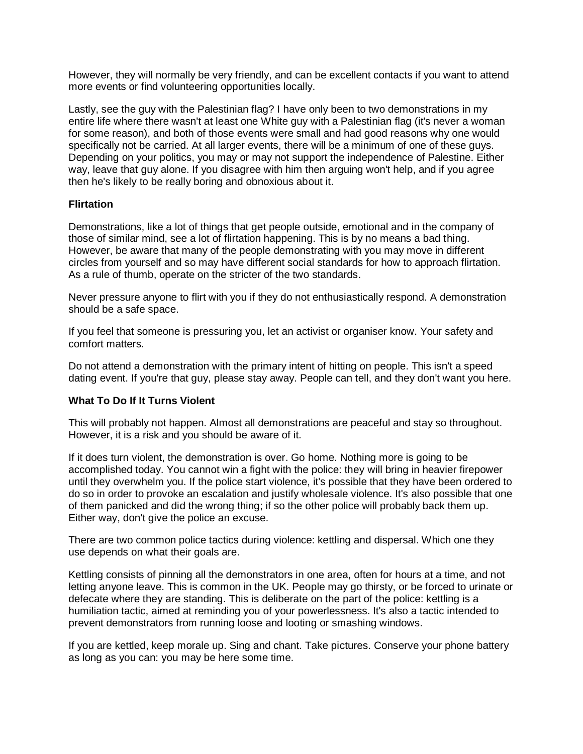However, they will normally be very friendly, and can be excellent contacts if you want to attend more events or find volunteering opportunities locally.

Lastly, see the guy with the Palestinian flag? I have only been to two demonstrations in my entire life where there wasn't at least one White guy with a Palestinian flag (it's never a woman for some reason), and both of those events were small and had good reasons why one would specifically not be carried. At all larger events, there will be a minimum of one of these guys. Depending on your politics, you may or may not support the independence of Palestine. Either way, leave that guy alone. If you disagree with him then arguing won't help, and if you agree then he's likely to be really boring and obnoxious about it.

### **Flirtation**

Demonstrations, like a lot of things that get people outside, emotional and in the company of those of similar mind, see a lot of flirtation happening. This is by no means a bad thing. However, be aware that many of the people demonstrating with you may move in different circles from yourself and so may have different social standards for how to approach flirtation. As a rule of thumb, operate on the stricter of the two standards.

Never pressure anyone to flirt with you if they do not enthusiastically respond. A demonstration should be a safe space.

If you feel that someone is pressuring you, let an activist or organiser know. Your safety and comfort matters.

Do not attend a demonstration with the primary intent of hitting on people. This isn't a speed dating event. If you're that guy, please stay away. People can tell, and they don't want you here.

# **What To Do If It Turns Violent**

This will probably not happen. Almost all demonstrations are peaceful and stay so throughout. However, it is a risk and you should be aware of it.

If it does turn violent, the demonstration is over. Go home. Nothing more is going to be accomplished today. You cannot win a fight with the police: they will bring in heavier firepower until they overwhelm you. If the police start violence, it's possible that they have been ordered to do so in order to provoke an escalation and justify wholesale violence. It's also possible that one of them panicked and did the wrong thing; if so the other police will probably back them up. Either way, don't give the police an excuse.

There are two common police tactics during violence: kettling and dispersal. Which one they use depends on what their goals are.

Kettling consists of pinning all the demonstrators in one area, often for hours at a time, and not letting anyone leave. This is common in the UK. People may go thirsty, or be forced to urinate or defecate where they are standing. This is deliberate on the part of the police: kettling is a humiliation tactic, aimed at reminding you of your powerlessness. It's also a tactic intended to prevent demonstrators from running loose and looting or smashing windows.

If you are kettled, keep morale up. Sing and chant. Take pictures. Conserve your phone battery as long as you can: you may be here some time.